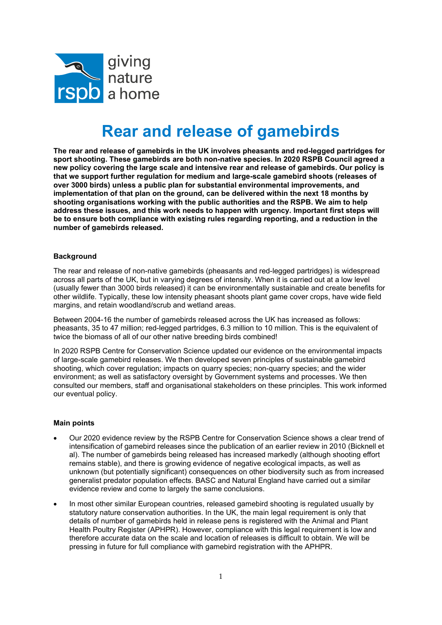

## Rear and release of gamebirds

The rear and release of gamebirds in the UK involves pheasants and red-legged partridges for sport shooting. These gamebirds are both non-native species. In 2020 RSPB Council agreed a new policy covering the large scale and intensive rear and release of gamebirds. Our policy is that we support further regulation for medium and large-scale gamebird shoots (releases of over 3000 birds) unless a public plan for substantial environmental improvements, and implementation of that plan on the ground, can be delivered within the next 18 months by shooting organisations working with the public authorities and the RSPB. We aim to help address these issues, and this work needs to happen with urgency. Important first steps will be to ensure both compliance with existing rules regarding reporting, and a reduction in the number of gamebirds released.

## **Background**

The rear and release of non-native gamebirds (pheasants and red-legged partridges) is widespread across all parts of the UK, but in varying degrees of intensity. When it is carried out at a low level (usually fewer than 3000 birds released) it can be environmentally sustainable and create benefits for other wildlife. Typically, these low intensity pheasant shoots plant game cover crops, have wide field margins, and retain woodland/scrub and wetland areas.

Between 2004-16 the number of gamebirds released across the UK has increased as follows: pheasants, 35 to 47 million; red-legged partridges, 6.3 million to 10 million. This is the equivalent of twice the biomass of all of our other native breeding birds combined!

In 2020 RSPB Centre for Conservation Science updated our evidence on the environmental impacts of large-scale gamebird releases. We then developed seven principles of sustainable gamebird shooting, which cover regulation; impacts on quarry species; non-quarry species; and the wider environment; as well as satisfactory oversight by Government systems and processes. We then consulted our members, staff and organisational stakeholders on these principles. This work informed our eventual policy.

## Main points

- Our 2020 evidence review by the RSPB Centre for Conservation Science shows a clear trend of intensification of gamebird releases since the publication of an earlier review in 2010 (Bicknell et al). The number of gamebirds being released has increased markedly (although shooting effort remains stable), and there is growing evidence of negative ecological impacts, as well as unknown (but potentially significant) consequences on other biodiversity such as from increased generalist predator population effects. BASC and Natural England have carried out a similar evidence review and come to largely the same conclusions.
- In most other similar European countries, released gamebird shooting is regulated usually by statutory nature conservation authorities. In the UK, the main legal requirement is only that details of number of gamebirds held in release pens is registered with the Animal and Plant Health Poultry Register (APHPR). However, compliance with this legal requirement is low and therefore accurate data on the scale and location of releases is difficult to obtain. We will be pressing in future for full compliance with gamebird registration with the APHPR.